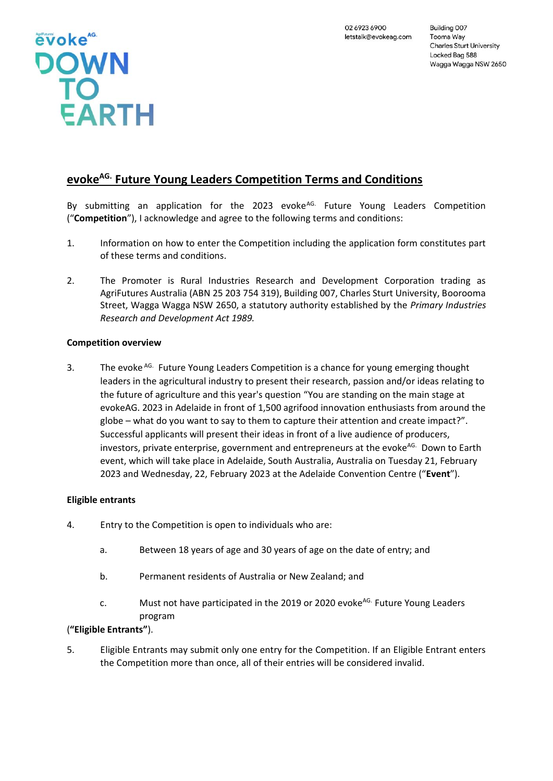

# **evokeAG. Future Young Leaders Competition Terms and Conditions**

By submitting an application for the 2023 evoke $A<sup>G</sup>$ . Future Young Leaders Competition ("**Competition**"), I acknowledge and agree to the following terms and conditions:

- 1. Information on how to enter the Competition including the application form constitutes part of these terms and conditions.
- 2. The Promoter is Rural Industries Research and Development Corporation trading as AgriFutures Australia (ABN 25 203 754 319), Building 007, Charles Sturt University, Boorooma Street, Wagga Wagga NSW 2650, a statutory authority established by the *Primary Industries Research and Development Act 1989.*

## **Competition overview**

3. The evoke AG. Future Young Leaders Competition is a chance for young emerging thought leaders in the agricultural industry to present their research, passion and/or ideas relating to the future of agriculture and this year's question "You are standing on the main stage at evokeAG. 2023 in Adelaide in front of 1,500 agrifood innovation enthusiasts from around the globe – what do you want to say to them to capture their attention and create impact?". Successful applicants will present their ideas in front of a live audience of producers, investors, private enterprise, government and entrepreneurs at the evoke<sup>AG.</sup> Down to Earth event, which will take place in Adelaide, South Australia, Australia on Tuesday 21, February 2023 and Wednesday, 22, February 2023 at the Adelaide Convention Centre ("**Event**").

## **Eligible entrants**

- 4. Entry to the Competition is open to individuals who are:
	- a. Between 18 years of age and 30 years of age on the date of entry; and
	- b. Permanent residents of Australia or New Zealand; and
	- c. Must not have participated in the 2019 or 2020 evoke<sup>AG.</sup> Future Young Leaders program

## (**"Eligible Entrants"**).

5. Eligible Entrants may submit only one entry for the Competition. If an Eligible Entrant enters the Competition more than once, all of their entries will be considered invalid.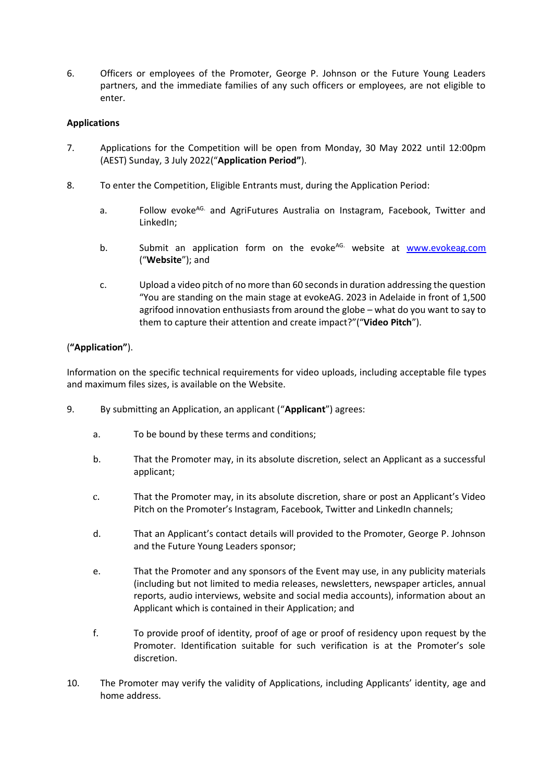6. Officers or employees of the Promoter, George P. Johnson or the Future Young Leaders partners, and the immediate families of any such officers or employees, are not eligible to enter.

## **Applications**

- 7. Applications for the Competition will be open from Monday, 30 May 2022 until 12:00pm (AEST) Sunday, 3 July 2022("**Application Period"**).
- 8. To enter the Competition, Eligible Entrants must, during the Application Period:
	- a. Follow evoke<sup>AG.</sup> and AgriFutures Australia on Instagram, Facebook, Twitter and LinkedIn;
	- b. Submit an application form on the evoke<sup>AG.</sup> website at www.evokeag.com ("**Website**"); and
	- c. Upload a video pitch of no more than 60 seconds in duration addressing the question "You are standing on the main stage at evokeAG. 2023 in Adelaide in front of 1,500 agrifood innovation enthusiasts from around the globe – what do you want to say to them to capture their attention and create impact?"("**Video Pitch**").

## (**"Application"**).

Information on the specific technical requirements for video uploads, including acceptable file types and maximum files sizes, is available on the Website.

- 9. By submitting an Application, an applicant ("**Applicant**") agrees:
	- a. To be bound by these terms and conditions;
	- b. That the Promoter may, in its absolute discretion, select an Applicant as a successful applicant;
	- c. That the Promoter may, in its absolute discretion, share or post an Applicant's Video Pitch on the Promoter's Instagram, Facebook, Twitter and LinkedIn channels;
	- d. That an Applicant's contact details will provided to the Promoter, George P. Johnson and the Future Young Leaders sponsor;
	- e. That the Promoter and any sponsors of the Event may use, in any publicity materials (including but not limited to media releases, newsletters, newspaper articles, annual reports, audio interviews, website and social media accounts), information about an Applicant which is contained in their Application; and
	- f. To provide proof of identity, proof of age or proof of residency upon request by the Promoter. Identification suitable for such verification is at the Promoter's sole discretion.
- 10. The Promoter may verify the validity of Applications, including Applicants' identity, age and home address.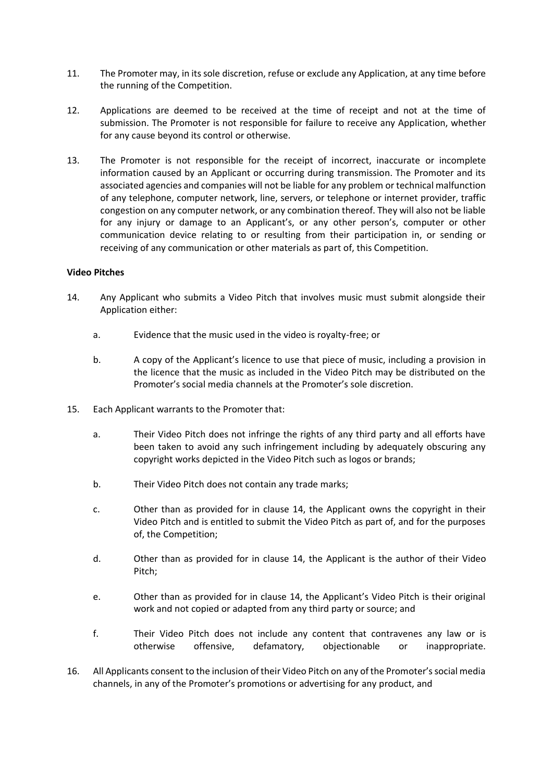- 11. The Promoter may, in its sole discretion, refuse or exclude any Application, at any time before the running of the Competition.
- 12. Applications are deemed to be received at the time of receipt and not at the time of submission. The Promoter is not responsible for failure to receive any Application, whether for any cause beyond its control or otherwise.
- 13. The Promoter is not responsible for the receipt of incorrect, inaccurate or incomplete information caused by an Applicant or occurring during transmission. The Promoter and its associated agencies and companies will not be liable for any problem or technical malfunction of any telephone, computer network, line, servers, or telephone or internet provider, traffic congestion on any computer network, or any combination thereof. They will also not be liable for any injury or damage to an Applicant's, or any other person's, computer or other communication device relating to or resulting from their participation in, or sending or receiving of any communication or other materials as part of, this Competition.

#### **Video Pitches**

- 14. Any Applicant who submits a Video Pitch that involves music must submit alongside their Application either:
	- a. Evidence that the music used in the video is royalty-free; or
	- b. A copy of the Applicant's licence to use that piece of music, including a provision in the licence that the music as included in the Video Pitch may be distributed on the Promoter's social media channels at the Promoter's sole discretion.
- 15. Each Applicant warrants to the Promoter that:
	- a. Their Video Pitch does not infringe the rights of any third party and all efforts have been taken to avoid any such infringement including by adequately obscuring any copyright works depicted in the Video Pitch such as logos or brands;
	- b. Their Video Pitch does not contain any trade marks;
	- c. Other than as provided for in clause 14, the Applicant owns the copyright in their Video Pitch and is entitled to submit the Video Pitch as part of, and for the purposes of, the Competition;
	- d. Other than as provided for in clause 14, the Applicant is the author of their Video Pitch;
	- e. Other than as provided for in clause 14, the Applicant's Video Pitch is their original work and not copied or adapted from any third party or source; and
	- f. Their Video Pitch does not include any content that contravenes any law or is otherwise offensive, defamatory, objectionable or inappropriate.
- 16. All Applicants consent to the inclusion of their Video Pitch on any of the Promoter's social media channels, in any of the Promoter's promotions or advertising for any product, and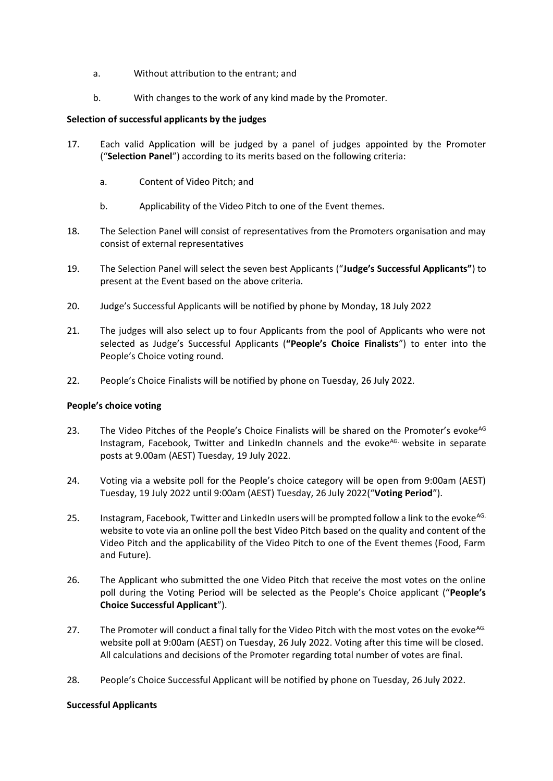- a. Without attribution to the entrant; and
- b. With changes to the work of any kind made by the Promoter.

### **Selection of successful applicants by the judges**

- 17. Each valid Application will be judged by a panel of judges appointed by the Promoter ("**Selection Panel**") according to its merits based on the following criteria:
	- a. Content of Video Pitch; and
	- b. Applicability of the Video Pitch to one of the Event themes.
- 18. The Selection Panel will consist of representatives from the Promoters organisation and may consist of external representatives
- 19. The Selection Panel will select the seven best Applicants ("**Judge's Successful Applicants"**) to present at the Event based on the above criteria.
- 20. Judge's Successful Applicants will be notified by phone by Monday, 18 July 2022
- 21. The judges will also select up to four Applicants from the pool of Applicants who were not selected as Judge's Successful Applicants (**"People's Choice Finalists**") to enter into the People's Choice voting round.
- 22. People's Choice Finalists will be notified by phone on Tuesday, 26 July 2022.

#### **People's choice voting**

- 23. The Video Pitches of the People's Choice Finalists will be shared on the Promoter's evoke<sup>AG</sup> Instagram, Facebook, Twitter and LinkedIn channels and the evoke<sup>AG.</sup> website in separate posts at 9.00am (AEST) Tuesday, 19 July 2022.
- 24. Voting via a website poll for the People's choice category will be open from 9:00am (AEST) Tuesday, 19 July 2022 until 9:00am (AEST) Tuesday, 26 July 2022("**Voting Period**").
- 25. Instagram, Facebook, Twitter and LinkedIn users will be prompted follow a link to the evoke<sup>AG.</sup> website to vote via an online poll the best Video Pitch based on the quality and content of the Video Pitch and the applicability of the Video Pitch to one of the Event themes (Food, Farm and Future).
- 26. The Applicant who submitted the one Video Pitch that receive the most votes on the online poll during the Voting Period will be selected as the People's Choice applicant ("**People's Choice Successful Applicant**").
- 27. The Promoter will conduct a final tally for the Video Pitch with the most votes on the evoke<sup>AG.</sup> website poll at 9:00am (AEST) on Tuesday, 26 July 2022. Voting after this time will be closed. All calculations and decisions of the Promoter regarding total number of votes are final.
- 28. People's Choice Successful Applicant will be notified by phone on Tuesday, 26 July 2022.

#### **Successful Applicants**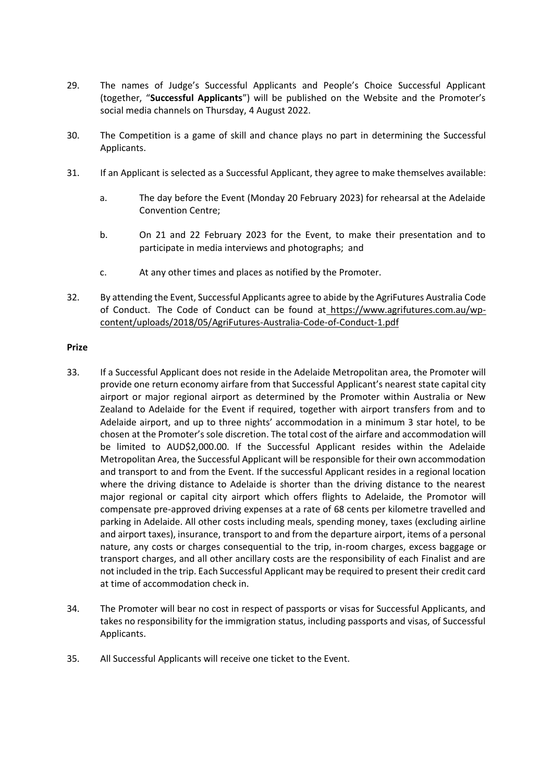- 29. The names of Judge's Successful Applicants and People's Choice Successful Applicant (together, "**Successful Applicants**") will be published on the Website and the Promoter's social media channels on Thursday, 4 August 2022.
- 30. The Competition is a game of skill and chance plays no part in determining the Successful Applicants.
- 31. If an Applicant is selected as a Successful Applicant, they agree to make themselves available:
	- a. The day before the Event (Monday 20 February 2023) for rehearsal at the Adelaide Convention Centre;
	- b. On 21 and 22 February 2023 for the Event, to make their presentation and to participate in media interviews and photographs; and
	- c. At any other times and places as notified by the Promoter.
- 32. By attending the Event, Successful Applicants agree to abide by the AgriFutures Australia Code of Conduct. The Code of Conduct can be found at [https://www.agrifutures.com.au/wp](https://www.agrifutures.com.au/wp-content/uploads/2018/05/AgriFutures-Australia-Code-of-Conduct-1.pdf)[content/uploads/2018/05/AgriFutures-Australia-Code-of-Conduct-1.pdf](https://www.agrifutures.com.au/wp-content/uploads/2018/05/AgriFutures-Australia-Code-of-Conduct-1.pdf)

#### **Prize**

- 33. If a Successful Applicant does not reside in the Adelaide Metropolitan area, the Promoter will provide one return economy airfare from that Successful Applicant's nearest state capital city airport or major regional airport as determined by the Promoter within Australia or New Zealand to Adelaide for the Event if required, together with airport transfers from and to Adelaide airport, and up to three nights' accommodation in a minimum 3 star hotel, to be chosen at the Promoter's sole discretion. The total cost of the airfare and accommodation will be limited to AUD\$2,000.00. If the Successful Applicant resides within the Adelaide Metropolitan Area, the Successful Applicant will be responsible for their own accommodation and transport to and from the Event. If the successful Applicant resides in a regional location where the driving distance to Adelaide is shorter than the driving distance to the nearest major regional or capital city airport which offers flights to Adelaide, the Promotor will compensate pre-approved driving expenses at a rate of 68 cents per kilometre travelled and parking in Adelaide. All other costs including meals, spending money, taxes (excluding airline and airport taxes), insurance, transport to and from the departure airport, items of a personal nature, any costs or charges consequential to the trip, in-room charges, excess baggage or transport charges, and all other ancillary costs are the responsibility of each Finalist and are not included in the trip. Each Successful Applicant may be required to present their credit card at time of accommodation check in.
- 34. The Promoter will bear no cost in respect of passports or visas for Successful Applicants, and takes no responsibility for the immigration status, including passports and visas, of Successful Applicants.
- 35. All Successful Applicants will receive one ticket to the Event.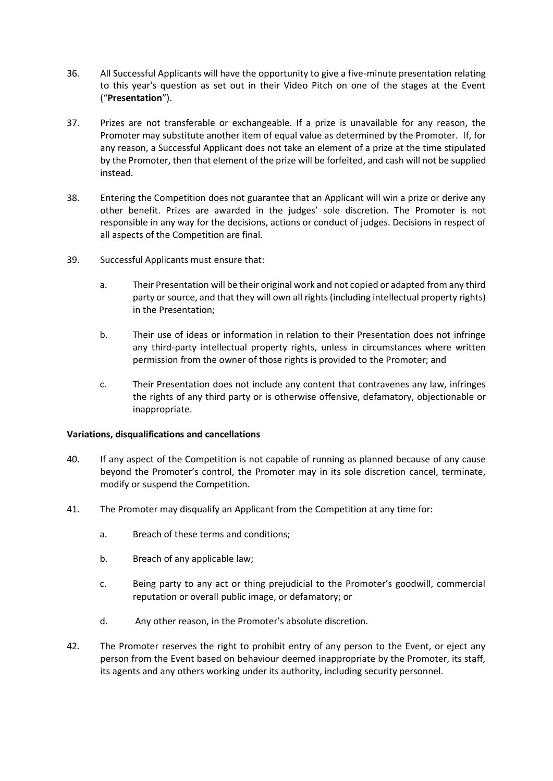- 36. All Successful Applicants will have the opportunity to give a five-minute presentation relating to this year's question as set out in their Video Pitch on one of the stages at the Event ("**Presentation**").
- 37. Prizes are not transferable or exchangeable. If a prize is unavailable for any reason, the Promoter may substitute another item of equal value as determined by the Promoter. If, for any reason, a Successful Applicant does not take an element of a prize at the time stipulated by the Promoter, then that element of the prize will be forfeited, and cash will not be supplied instead.
- 38. Entering the Competition does not guarantee that an Applicant will win a prize or derive any other benefit. Prizes are awarded in the judges' sole discretion. The Promoter is not responsible in any way for the decisions, actions or conduct of judges. Decisions in respect of all aspects of the Competition are final.
- 39. Successful Applicants must ensure that:
	- a. Their Presentation will be their original work and not copied or adapted from any third party or source, and that they will own all rights (including intellectual property rights) in the Presentation;
	- b. Their use of ideas or information in relation to their Presentation does not infringe any third-party intellectual property rights, unless in circumstances where written permission from the owner of those rights is provided to the Promoter; and
	- c. Their Presentation does not include any content that contravenes any law, infringes the rights of any third party or is otherwise offensive, defamatory, objectionable or inappropriate.

#### **Variations, disqualifications and cancellations**

- 40. If any aspect of the Competition is not capable of running as planned because of any cause beyond the Promoter's control, the Promoter may in its sole discretion cancel, terminate, modify or suspend the Competition.
- 41. The Promoter may disqualify an Applicant from the Competition at any time for:
	- a. Breach of these terms and conditions;
	- b. Breach of any applicable law;
	- c. Being party to any act or thing prejudicial to the Promoter's goodwill, commercial reputation or overall public image, or defamatory; or
	- d. Any other reason, in the Promoter's absolute discretion.
- 42. The Promoter reserves the right to prohibit entry of any person to the Event, or eject any person from the Event based on behaviour deemed inappropriate by the Promoter, its staff, its agents and any others working under its authority, including security personnel.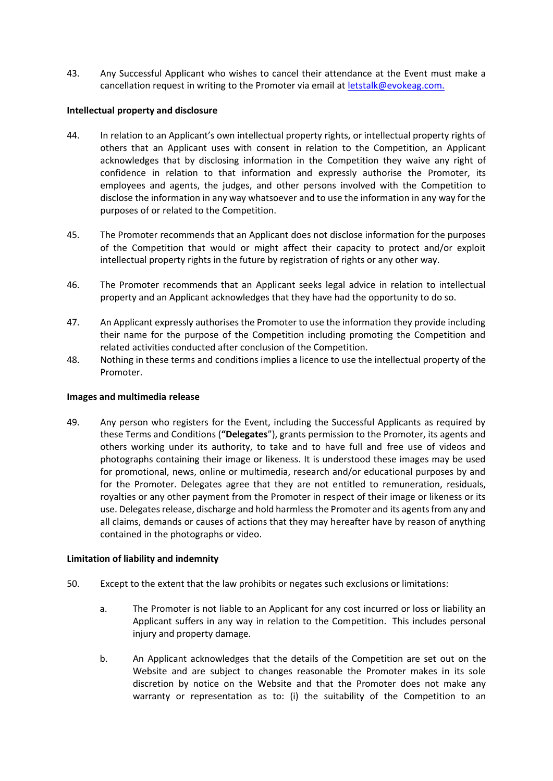43. Any Successful Applicant who wishes to cancel their attendance at the Event must make a cancellation request in writing to the Promoter via email at **letstalk@evokeag.com.** 

#### **Intellectual property and disclosure**

- 44. In relation to an Applicant's own intellectual property rights, or intellectual property rights of others that an Applicant uses with consent in relation to the Competition, an Applicant acknowledges that by disclosing information in the Competition they waive any right of confidence in relation to that information and expressly authorise the Promoter, its employees and agents, the judges, and other persons involved with the Competition to disclose the information in any way whatsoever and to use the information in any way for the purposes of or related to the Competition.
- 45. The Promoter recommends that an Applicant does not disclose information for the purposes of the Competition that would or might affect their capacity to protect and/or exploit intellectual property rights in the future by registration of rights or any other way.
- 46. The Promoter recommends that an Applicant seeks legal advice in relation to intellectual property and an Applicant acknowledges that they have had the opportunity to do so.
- 47. An Applicant expressly authorises the Promoter to use the information they provide including their name for the purpose of the Competition including promoting the Competition and related activities conducted after conclusion of the Competition.
- 48. Nothing in these terms and conditions implies a licence to use the intellectual property of the Promoter.

#### **Images and multimedia release**

49. Any person who registers for the Event, including the Successful Applicants as required by these Terms and Conditions (**"Delegates**"), grants permission to the Promoter, its agents and others working under its authority, to take and to have full and free use of videos and photographs containing their image or likeness. It is understood these images may be used for promotional, news, online or multimedia, research and/or educational purposes by and for the Promoter. Delegates agree that they are not entitled to remuneration, residuals, royalties or any other payment from the Promoter in respect of their image or likeness or its use. Delegates release, discharge and hold harmless the Promoter and its agents from any and all claims, demands or causes of actions that they may hereafter have by reason of anything contained in the photographs or video.

#### **Limitation of liability and indemnity**

- 50. Except to the extent that the law prohibits or negates such exclusions or limitations:
	- a. The Promoter is not liable to an Applicant for any cost incurred or loss or liability an Applicant suffers in any way in relation to the Competition. This includes personal injury and property damage.
	- b. An Applicant acknowledges that the details of the Competition are set out on the Website and are subject to changes reasonable the Promoter makes in its sole discretion by notice on the Website and that the Promoter does not make any warranty or representation as to: (i) the suitability of the Competition to an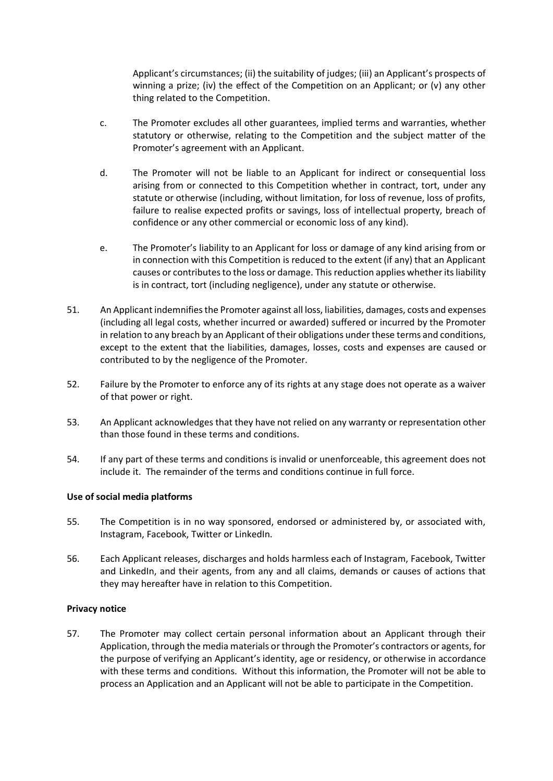Applicant's circumstances; (ii) the suitability of judges; (iii) an Applicant's prospects of winning a prize; (iv) the effect of the Competition on an Applicant; or (v) any other thing related to the Competition.

- c. The Promoter excludes all other guarantees, implied terms and warranties, whether statutory or otherwise, relating to the Competition and the subject matter of the Promoter's agreement with an Applicant.
- d. The Promoter will not be liable to an Applicant for indirect or consequential loss arising from or connected to this Competition whether in contract, tort, under any statute or otherwise (including, without limitation, for loss of revenue, loss of profits, failure to realise expected profits or savings, loss of intellectual property, breach of confidence or any other commercial or economic loss of any kind).
- e. The Promoter's liability to an Applicant for loss or damage of any kind arising from or in connection with this Competition is reduced to the extent (if any) that an Applicant causes or contributes to the loss or damage. This reduction applies whether its liability is in contract, tort (including negligence), under any statute or otherwise.
- 51. An Applicant indemnifies the Promoter against all loss, liabilities, damages, costs and expenses (including all legal costs, whether incurred or awarded) suffered or incurred by the Promoter in relation to any breach by an Applicant of their obligations under these terms and conditions, except to the extent that the liabilities, damages, losses, costs and expenses are caused or contributed to by the negligence of the Promoter.
- 52. Failure by the Promoter to enforce any of its rights at any stage does not operate as a waiver of that power or right.
- 53. An Applicant acknowledges that they have not relied on any warranty or representation other than those found in these terms and conditions.
- 54. If any part of these terms and conditions is invalid or unenforceable, this agreement does not include it. The remainder of the terms and conditions continue in full force.

#### **Use of social media platforms**

- 55. The Competition is in no way sponsored, endorsed or administered by, or associated with, Instagram, Facebook, Twitter or LinkedIn.
- 56. Each Applicant releases, discharges and holds harmless each of Instagram, Facebook, Twitter and LinkedIn, and their agents, from any and all claims, demands or causes of actions that they may hereafter have in relation to this Competition.

#### **Privacy notice**

57. The Promoter may collect certain personal information about an Applicant through their Application, through the media materials or through the Promoter's contractors or agents, for the purpose of verifying an Applicant's identity, age or residency, or otherwise in accordance with these terms and conditions. Without this information, the Promoter will not be able to process an Application and an Applicant will not be able to participate in the Competition.